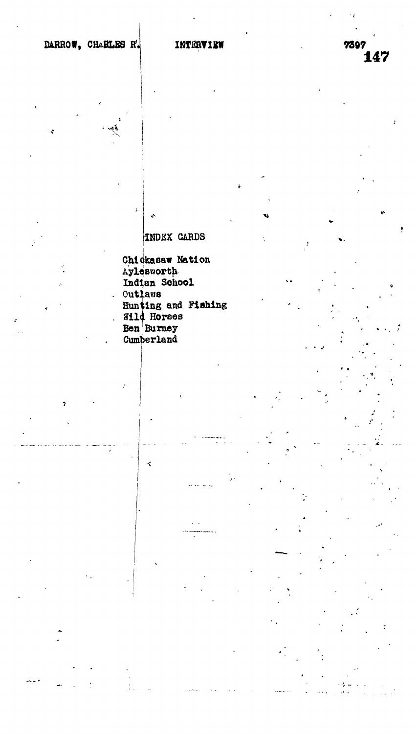## **INDEX CARDS**

ŀ

Chickasaw Nation Aylesworth Indian School **Outlaws** Hunting and Fishing Wild Horses **Ben** Burney Cumberland

٠ź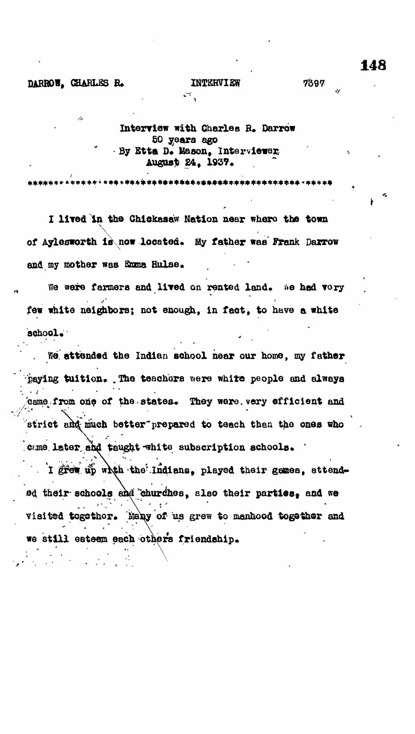#### DARROW. CHARLES R.

### **INTERVIEW**

148

Interview with Charles R. Darrow 50 years ago By Etta D. Mason, Interviewer, August 24, 1937.

\*\*\*\*\*\*\*\*\*\*\*\*\*\*\*\*\*\*\*\*\*\*\*\*\*\*\*\*\*\*\*\*\*

 $\mathcal{L}^{\mathcal{L}}$ 

I lived in the Chickasaw Nation near where the town of Aylesworth is now located. My father was Frank Darrow and my mother was finma Hulse.

We were farmers and lived on rented land. We had vory few white neighbors; not enough, in fact, to have a white school.

We attended the Indian school near our home, my father paying tuition. The teachers were white people and always came from one of the states. They were very efficient and strict and much better prepared to teach than the ones who came later and taught white subscription schools.

I great up which the Indians, played their genes, attended their schools and churches, also their parties, and we visited togethor. Nany of us grew to menhood together and we still esteem each others friendship.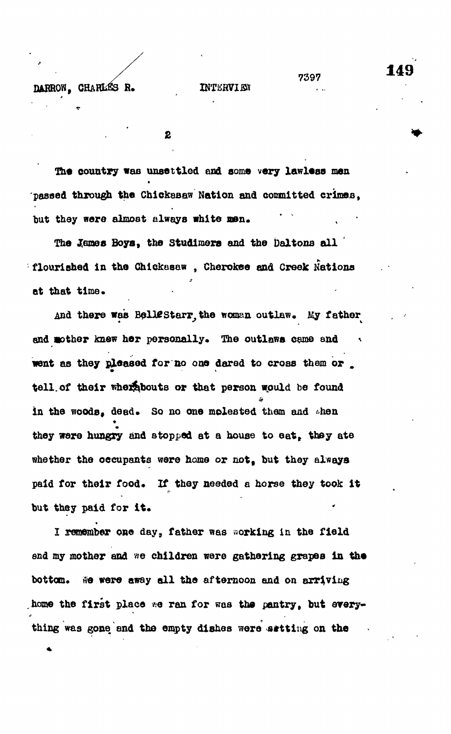## **DARROW. CHARLES R. INTERVIEW**

 $\mathbf{2}$ 

**country was unsettled and aom» very lawless men passed through the Chickaaaw Nation and committed crimes.** but they were almost always white men.

**The Reuses Boys, the Studlmsra and the Daltons all flourished in the Chlckasaw , Cherokee and Creek Nations** at that time.

And there was BelleStarr, the woman outlaw. My father and mother knew her personally. The outlaws came and went as they pleased for no one dared to cross them or **tell.of their whexfebouts or that person would be found in the woods, dead. So no one molested them and ihen they were hungry and stopped at a house to eat, they ate whether the occupants were home or not, but they always** paid for their food. If they needed a horse they took it **but they paid for it.**

I remember one day, father was working in the field **I reg&mber one day, father was working in the field** bottom. **bottom\* tie were away all the afternoon and on arriving home the first place \*e ran for was the pantry, but srery-**

**thing was gone and the empty dishes were sitting on the**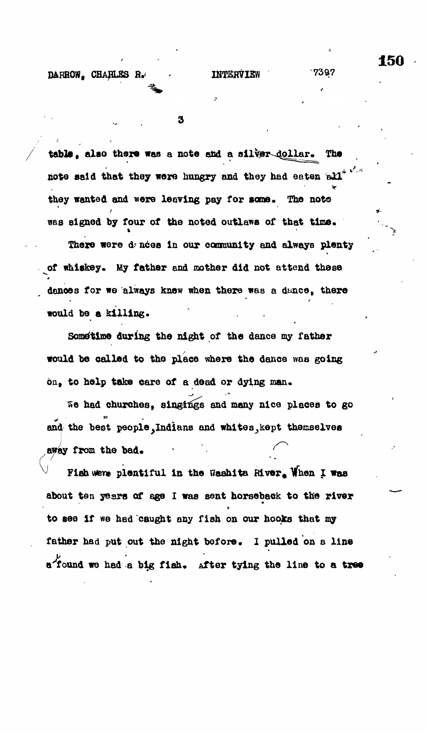3

**table, also there was a note and a oilvex^ollar . The note said that they were hungry and they had eaten all they wanted and were leaving pay for sane. The note** was signed by four of the noted outlaws of that time.

There were dances in our community and always plenty **of whiskey. My father and mother did not attend these dances for we always knew when there was a dunce, there** would be a killing.

**Some'time during the night of the dance my father would be called to the place where the dance was going on, to help take care of a dead or dying man.**

**Se had churches, singings and many nice places to go** and the best people, Indians and whites, kept themselves **away from the bad. v**  $\mathbf{v} = \mathbf{v} \cdot \mathbf{v}$  **'**  $\mathbf{v} = \mathbf{v} \cdot \mathbf{v}$  **'** 

Fish were plentiful in the Washita River. When I was **about ten years of age I was sent horseback to the river to see if we had caught any fish on our hooks that my father had put out the night before, 1 pulled on a line** *y* **a** found we had a big fish. After tying the line to a tree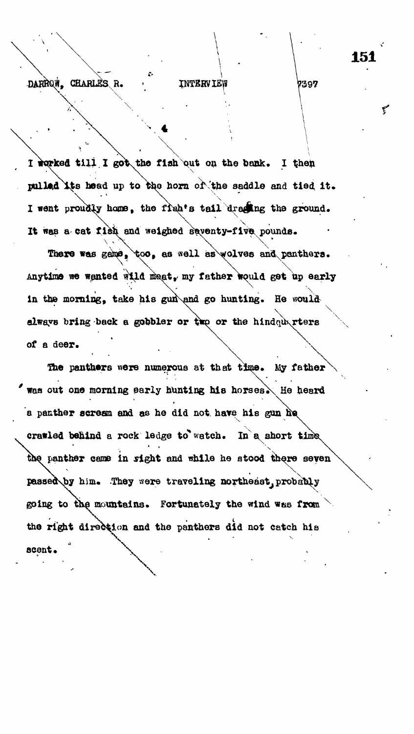# DARRON, CHARLES R.

**INTERVIEW** 

I worked till I got the fish out on the bank. I then **pulled Ite head up to the horn of'the saddle and tied it.**  $\sqrt{2\pi}$ I went proudly home, the figh<sup>*t*</sup>**s** tail draging the ground. It was a cat fish and weighed saventy-fiv **pounds.**

There was game,  $\downarrow \circ \circ$ , as well as wolves and panthers. Anytime we wanted wild maat, my father would get up early **\** in the morning, take his gun\and go hunting. He would always bring back a gobbler or two or the hindquarters of a deer.

The panthers were numerous at that time. My father was out one morning early hunting his horses. He heard a panther scream and as he did not have his gun he crawled behind a rock ledge to watch. In a short time the panther came in sight and while he stood there seven passed by him. They were traveling northeast probably going to the mountains. Fortunately the wind was from the right direction and the panthers did not catch his scent.

7397

**f**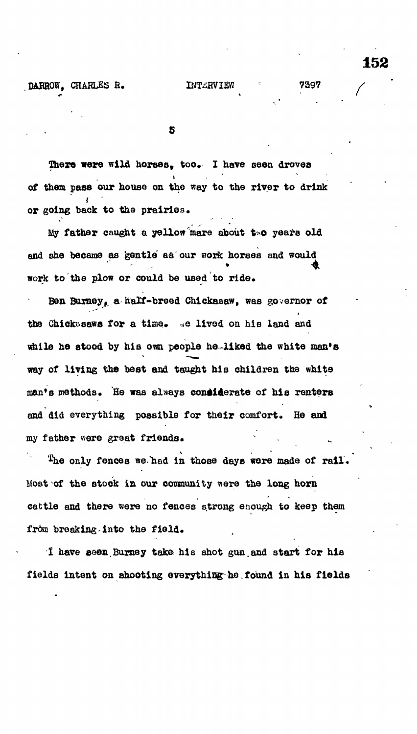#### **BARROW, CHARLES R. IWTIRVIEW 7397**

5

There were wild horses, too. I have seen droves **of them pass our house on the way to the river to drink**  $\mathbf{f}$ **or going back to the prairies.**

**My father caught a yellow mare about t o years old and she became as gentle as our work horses and would work to the plow or could be used to ride\***

**Ben Burney, a half-breed Chickaaaw, was governor of the Chickiisaws for a time. «e lived on hie land and** while he stood by his own people he-liked the white man's **way of living the best and taught his children the white** man's methods. He was always considerate of his renters **and did everything possible for their comfort. He and** my father were great friends.

<sup>T</sup>he only fences we had in those days were made of rail. **Most of the stock in our community were the long horn** cattle and there were no fences strong enough to keep them **from breaking into the field.**

**1 have eaen.Bumey take his shot gun.and start for his fields intent on shooting everything^ne.found in his fields**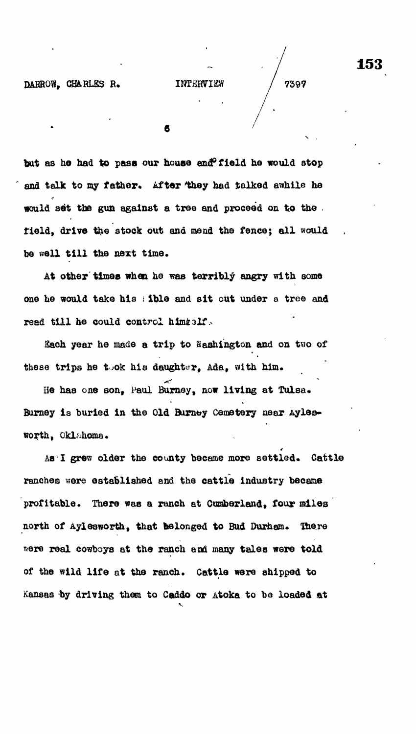**bat as he had to pass our house and<sup>0</sup>field he would stop and talk to my father. After 'they had talked awhile he would set the gun against a tree and proceed on too the . field, drive the stock out and mend the fence; all would he well till the next time.**

**At other times whan he was terribly angry with some one he would take his \ ible and sit out under a tree and** read till he could control himialf.

Each year he made a trip to Washington and on two of these trips he took his daughter, Ada, with him.

**Be has one son, Paul Burney, now living at Tulsa«** Burney is buried in the Old Burney Cemetery near Ayles**worth, Oklahoma.**

As I grew older the county became more settled. Cattle ranches were established and the cattle industry became profitable. There was a ranch at Cumberland, four miles **profitable. There was a ranch at Cumberland, four miles** north of Aylesworth, that belonged to Bud Durhem. There **north of Aylesworth, that belonged to Bud Durham. Ike re ?\*ere real cowboys at the ranch and many tales were told of the wild life at the ranch. Cattle were shipped to** Kansas by driving them to Caddo or Atoka to be loaded at **Kansas by driving them to Caddo or Atoka to be loaded at**

4